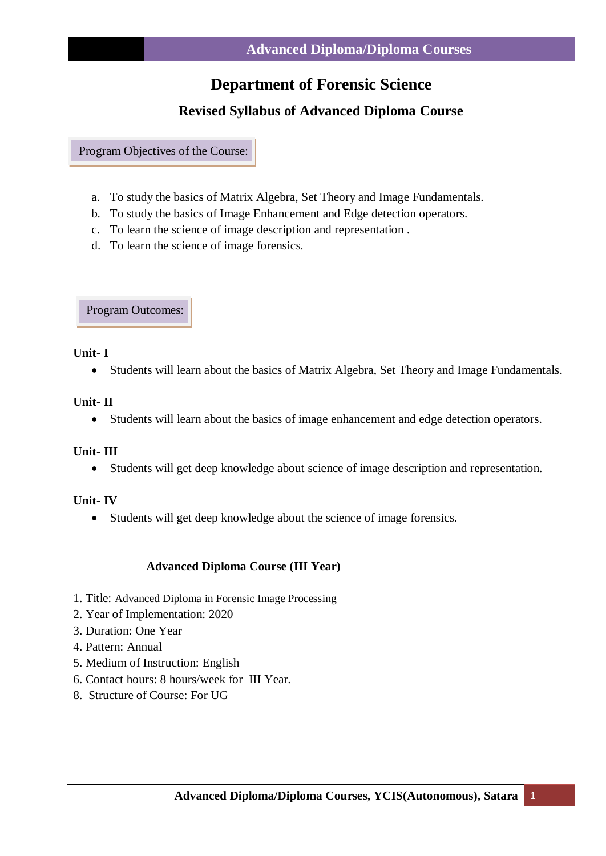# **Department of Forensic Science**

# **Revised Syllabus of Advanced Diploma Course**

Program Objectives of the Course:

- a. To study the basics of Matrix Algebra, Set Theory and Image Fundamentals.
- b. To study the basics of Image Enhancement and Edge detection operators.
- c. To learn the science of image description and representation .
- d. To learn the science of image forensics*.*

Program Outcomes:

### **Unit- I**

Students will learn about the basics of Matrix Algebra, Set Theory and Image Fundamentals*.*

### **Unit- II**

Students will learn about the basics of image enhancement and edge detection operators.

### **Unit- III**

Students will get deep knowledge about science of image description and representation.

### **Unit- IV**

Students will get deep knowledge about the science of image forensics.

### **Advanced Diploma Course (III Year)**

- 1. Title: Advanced Diploma in Forensic Image Processing
- 2. Year of Implementation: 2020
- 3. Duration: One Year
- 4. Pattern: Annual
- 5. Medium of Instruction: English
- 6. Contact hours: 8 hours/week for III Year.
- 8. Structure of Course: For UG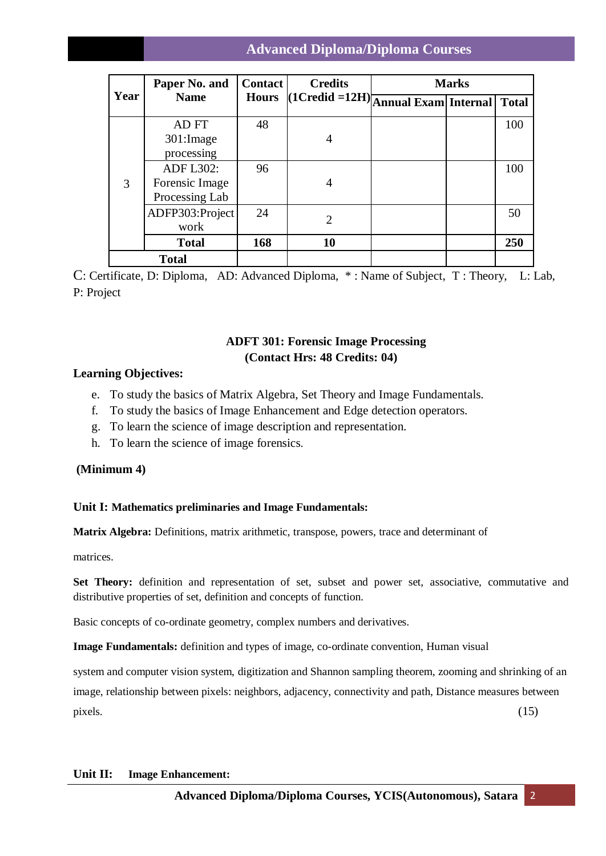# **Advanced Diploma/Diploma Courses**

| Year         | Paper No. and<br><b>Name</b>                         | <b>Contact</b><br><b>Hours</b> | <b>Credits</b><br>$\vert$ (1Credid = 12H) $\vert$ Annual Exam $\vert$ Internal $\vert$ | <b>Marks</b> |  |              |
|--------------|------------------------------------------------------|--------------------------------|----------------------------------------------------------------------------------------|--------------|--|--------------|
|              |                                                      |                                |                                                                                        |              |  | <b>Total</b> |
| 3            | AD FT<br>301: Image<br>processing                    | 48                             | 4                                                                                      |              |  | 100          |
|              | <b>ADF L302:</b><br>Forensic Image<br>Processing Lab | 96                             | 4                                                                                      |              |  | 100          |
|              | ADFP303:Project<br>work                              | 24                             | $\overline{2}$                                                                         |              |  | 50           |
|              | <b>Total</b>                                         | 168                            | 10                                                                                     |              |  | 250          |
| <b>Total</b> |                                                      |                                |                                                                                        |              |  |              |

C: Certificate, D: Diploma, AD: Advanced Diploma, \* : Name of Subject, T : Theory, L: Lab, P: Project

### **ADFT 301: Forensic Image Processing (Contact Hrs: 48 Credits: 04)**

### **Learning Objectives:**

- e. To study the basics of Matrix Algebra, Set Theory and Image Fundamentals.
- f. To study the basics of Image Enhancement and Edge detection operators.
- g. To learn the science of image description and representation.
- h. To learn the science of image forensics*.*

### **(Minimum 4)**

### **Unit I: Mathematics preliminaries and Image Fundamentals:**

**Matrix Algebra:** Definitions, matrix arithmetic, transpose, powers, trace and determinant of

matrices.

**Set Theory:** definition and representation of set, subset and power set, associative, commutative and distributive properties of set, definition and concepts of function.

Basic concepts of co-ordinate geometry, complex numbers and derivatives.

**Image Fundamentals:** definition and types of image, co-ordinate convention, Human visual

system and computer vision system, digitization and Shannon sampling theorem, zooming and shrinking of an image, relationship between pixels: neighbors, adjacency, connectivity and path, Distance measures between  $\mu$ ixels.  $(15)$ 

#### **Unit II: Image Enhancement:**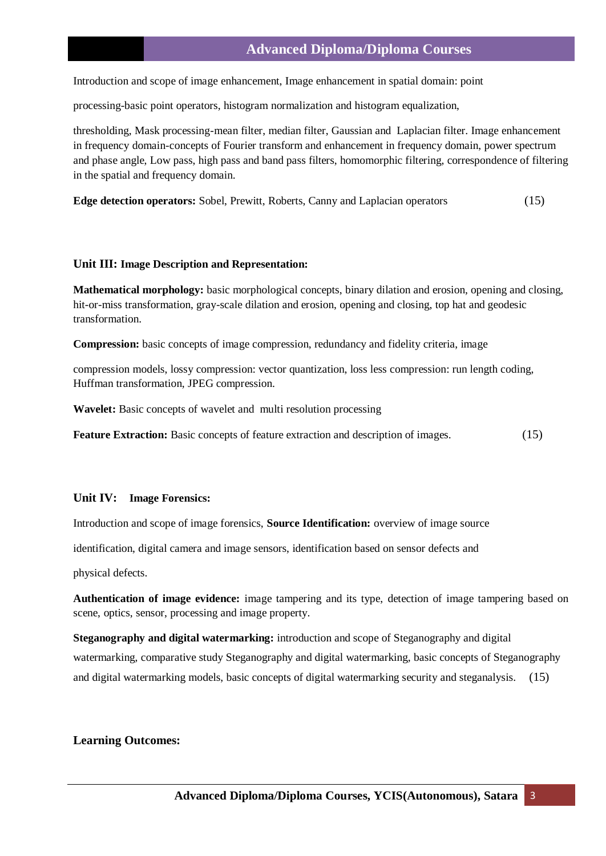### **Advanced Diploma/Diploma Courses**

Introduction and scope of image enhancement, Image enhancement in spatial domain: point

processing-basic point operators, histogram normalization and histogram equalization,

thresholding, Mask processing-mean filter, median filter, Gaussian and Laplacian filter. Image enhancement in frequency domain-concepts of Fourier transform and enhancement in frequency domain, power spectrum and phase angle, Low pass, high pass and band pass filters, homomorphic filtering, correspondence of filtering in the spatial and frequency domain.

**Edge detection operators:** Sobel, Prewitt, Roberts, Canny and Laplacian operators(15)

#### **Unit III: Image Description and Representation:**

**Mathematical morphology:** basic morphological concepts, binary dilation and erosion, opening and closing, hit-or-miss transformation, gray-scale dilation and erosion, opening and closing, top hat and geodesic transformation.

**Compression:** basic concepts of image compression, redundancy and fidelity criteria, image

compression models, lossy compression: vector quantization, loss less compression: run length coding, Huffman transformation, JPEG compression.

**Wavelet:** Basic concepts of wavelet and multi resolution processing

**Feature Extraction:** Basic concepts of feature extraction and description of images.(15)

#### **Unit IV: Image Forensics:**

Introduction and scope of image forensics, **Source Identification:** overview of image source

identification, digital camera and image sensors, identification based on sensor defects and

physical defects.

**Authentication of image evidence:** image tampering and its type, detection of image tampering based on scene, optics, sensor, processing and image property.

**Steganography and digital watermarking:** introduction and scope of Steganography and digital watermarking, comparative study Steganography and digital watermarking, basic concepts of Steganography and digital watermarking models, basic concepts of digital watermarking security and steganalysis.(15)

#### **Learning Outcomes:**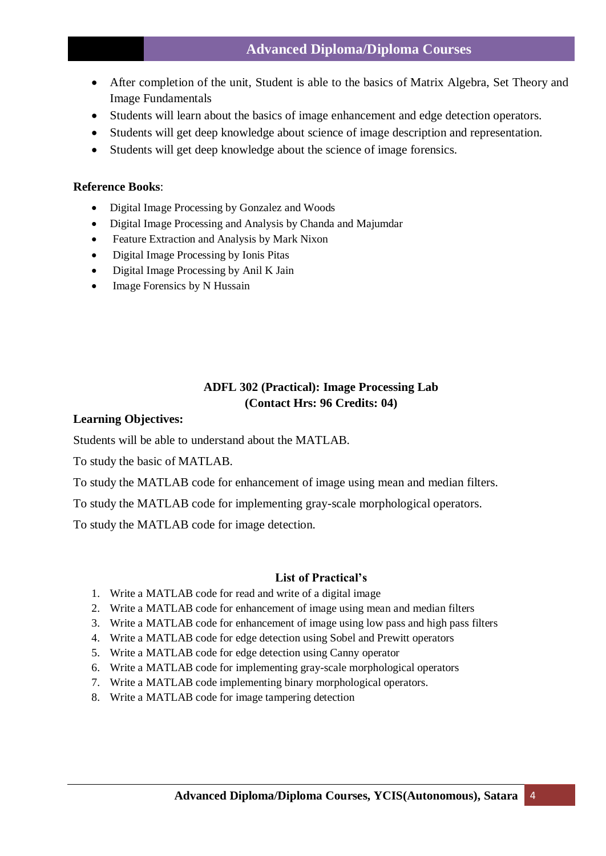- After completion of the unit, Student is able to the basics of Matrix Algebra, Set Theory and Image Fundamentals
- Students will learn about the basics of image enhancement and edge detection operators.
- Students will get deep knowledge about science of image description and representation.
- Students will get deep knowledge about the science of image forensics.

### **Reference Books**:

- Digital Image Processing by Gonzalez and Woods
- Digital Image Processing and Analysis by Chanda and Majumdar
- Feature Extraction and Analysis by Mark Nixon
- Digital Image Processing by Ionis Pitas
- Digital Image Processing by Anil K Jain
- Image Forensics by N Hussain

## **ADFL 302 (Practical): Image Processing Lab (Contact Hrs: 96 Credits: 04)**

#### **Learning Objectives:**

Students will be able to understand about the MATLAB.

To study the basic of MATLAB.

To study the MATLAB code for enhancement of image using mean and median filters.

To study the MATLAB code for implementing gray-scale morphological operators.

To study the MATLAB code for image detection.

#### **List of Practical's**

- 1. Write a MATLAB code for read and write of a digital image
- 2. Write a MATLAB code for enhancement of image using mean and median filters
- 3. Write a MATLAB code for enhancement of image using low pass and high pass filters
- 4. Write a MATLAB code for edge detection using Sobel and Prewitt operators
- 5. Write a MATLAB code for edge detection using Canny operator
- 6. Write a MATLAB code for implementing gray-scale morphological operators
- 7. Write a MATLAB code implementing binary morphological operators.
- 8. Write a MATLAB code for image tampering detection